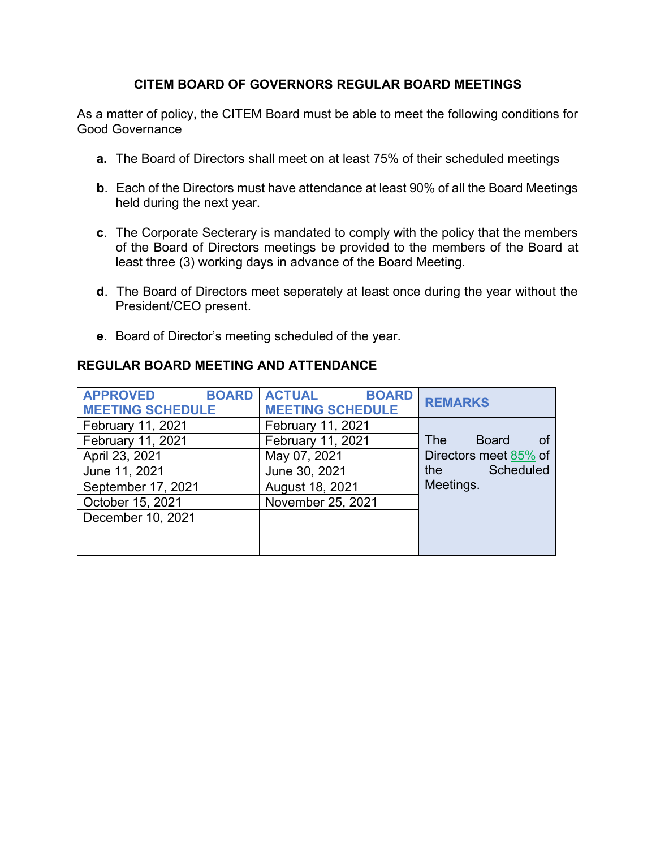## **CITEM BOARD OF GOVERNORS REGULAR BOARD MEETINGS**

As a matter of policy, the CITEM Board must be able to meet the following conditions for Good Governance

- **a.** The Board of Directors shall meet on at least 75% of their scheduled meetings
- **b**. Each of the Directors must have attendance at least 90% of all the Board Meetings held during the next year.
- **c**. The Corporate Secterary is mandated to comply with the policy that the members of the Board of Directors meetings be provided to the members of the Board at least three (3) working days in advance of the Board Meeting.
- **d**. The Board of Directors meet seperately at least once during the year without the President/CEO present.
- **e**. Board of Director's meeting scheduled of the year.

## **REGULAR BOARD MEETING AND ATTENDANCE**

| <b>APPROVED</b><br><b>BOARD</b><br><b>MEETING SCHEDULE</b> | <b>ACTUAL</b><br><b>BOARD</b><br><b>MEETING SCHEDULE</b> | <b>REMARKS</b>                                                                                                              |
|------------------------------------------------------------|----------------------------------------------------------|-----------------------------------------------------------------------------------------------------------------------------|
| February 11, 2021                                          | February 11, 2021                                        |                                                                                                                             |
| February 11, 2021                                          | February 11, 2021                                        | <b>Board</b><br>The                                                                                                         |
| April 23, 2021                                             | May 07, 2021                                             | Directors meet 85% of                                                                                                       |
| June 11, 2021                                              | June 30, 2021                                            | Scheduled<br>the the the state of the state of the state of the state of the state of the state of the state of the state o |
| September 17, 2021                                         | August 18, 2021                                          | Meetings.                                                                                                                   |
| October 15, 2021                                           | November 25, 2021                                        |                                                                                                                             |
| December 10, 2021                                          |                                                          |                                                                                                                             |
|                                                            |                                                          |                                                                                                                             |
|                                                            |                                                          |                                                                                                                             |